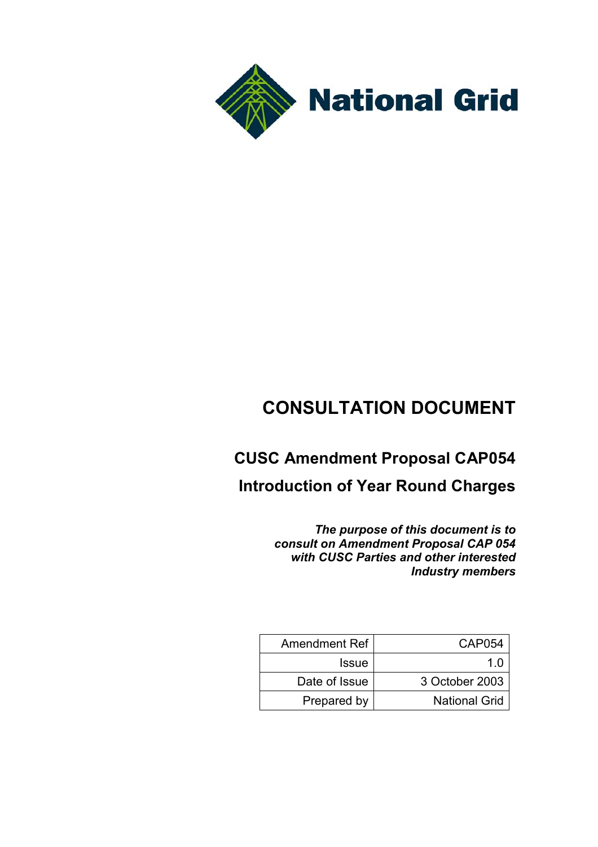

# **CONSULTATION DOCUMENT**

## **CUSC Amendment Proposal CAP054**

**Introduction of Year Round Charges**

*The purpose of this document is to consult on Amendment Proposal CAP 054 with CUSC Parties and other interested Industry members*

| Amendment Ref | CAP054               |
|---------------|----------------------|
| <b>Issue</b>  | 1 በ                  |
| Date of Issue | 3 October 2003       |
| Prepared by   | <b>National Grid</b> |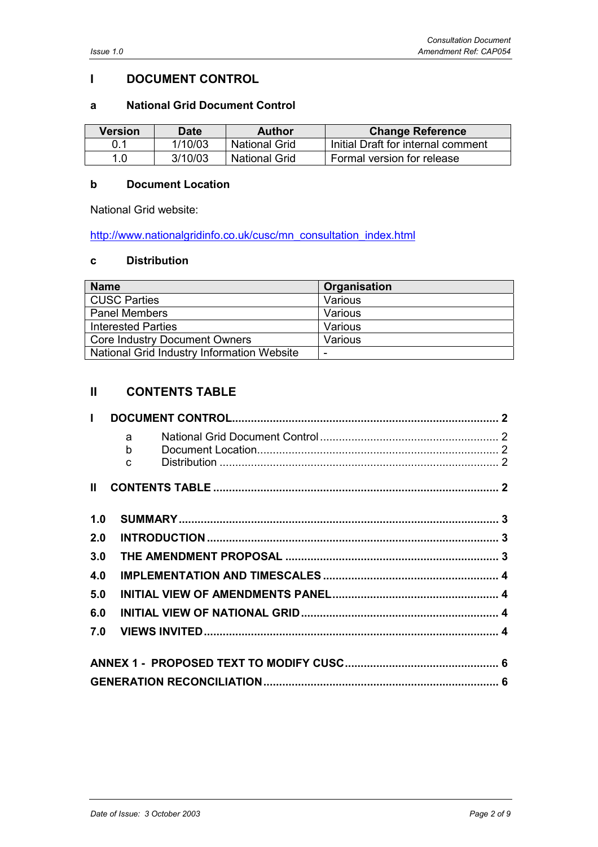## **I DOCUMENT CONTROL**

#### **a National Grid Document Control**

| Version | Date    | Author               | <b>Change Reference</b>            |
|---------|---------|----------------------|------------------------------------|
|         | 1/10/03 | <b>National Grid</b> | Initial Draft for internal comment |
| 1.0     | 3/10/03 | <b>National Grid</b> | Formal version for release         |

#### **b Document Location**

National Grid website:

http://www.nationalgridinfo.co.uk/cusc/mn\_consultation\_index.html

#### **c Distribution**

| <b>Name</b>                                | Organisation |
|--------------------------------------------|--------------|
| <b>CUSC Parties</b>                        | Various      |
| <b>Panel Members</b>                       | Various      |
| <b>Interested Parties</b>                  | Various      |
| <b>Core Industry Document Owners</b>       | Various      |
| National Grid Industry Information Website |              |

## **II CONTENTS TABLE**

| $\mathbf{I}$ |             |  |  |
|--------------|-------------|--|--|
|              | a<br>b<br>C |  |  |
| $\mathbf{I}$ |             |  |  |
| 1.0          |             |  |  |
| 2.0          |             |  |  |
| 3.0          |             |  |  |
| 4.0          |             |  |  |
| 5.0          |             |  |  |
| 6.0          |             |  |  |
| 7.0          |             |  |  |
|              |             |  |  |
|              |             |  |  |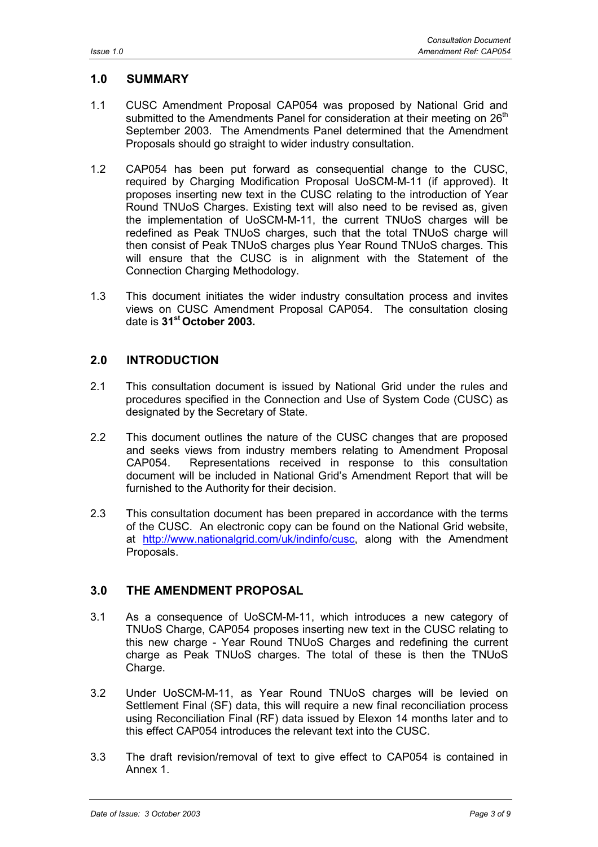## **1.0 SUMMARY**

- 1.1 CUSC Amendment Proposal CAP054 was proposed by National Grid and submitted to the Amendments Panel for consideration at their meeting on  $26<sup>th</sup>$ September 2003. The Amendments Panel determined that the Amendment Proposals should go straight to wider industry consultation.
- 1.2 CAP054 has been put forward as consequential change to the CUSC, required by Charging Modification Proposal UoSCM-M-11 (if approved). It proposes inserting new text in the CUSC relating to the introduction of Year Round TNUoS Charges. Existing text will also need to be revised as, given the implementation of UoSCM-M-11, the current TNUoS charges will be redefined as Peak TNUoS charges, such that the total TNUoS charge will then consist of Peak TNUoS charges plus Year Round TNUoS charges. This will ensure that the CUSC is in alignment with the Statement of the Connection Charging Methodology.
- 1.3 This document initiates the wider industry consultation process and invites views on CUSC Amendment Proposal CAP054. The consultation closing date is **31st October 2003.**

## **2.0 INTRODUCTION**

- 2.1 This consultation document is issued by National Grid under the rules and procedures specified in the Connection and Use of System Code (CUSC) as designated by the Secretary of State.
- 2.2 This document outlines the nature of the CUSC changes that are proposed and seeks views from industry members relating to Amendment Proposal CAP054. Representations received in response to this consultation document will be included in National Grid's Amendment Report that will be furnished to the Authority for their decision.
- 2.3 This consultation document has been prepared in accordance with the terms of the CUSC. An electronic copy can be found on the National Grid website, at http://www.nationalgrid.com/uk/indinfo/cusc, along with the Amendment Proposals.

## **3.0 THE AMENDMENT PROPOSAL**

- 3.1 As a consequence of UoSCM-M-11, which introduces a new category of TNUoS Charge, CAP054 proposes inserting new text in the CUSC relating to this new charge - Year Round TNUoS Charges and redefining the current charge as Peak TNUoS charges. The total of these is then the TNUoS Charge.
- 3.2 Under UoSCM-M-11, as Year Round TNUoS charges will be levied on Settlement Final (SF) data, this will require a new final reconciliation process using Reconciliation Final (RF) data issued by Elexon 14 months later and to this effect CAP054 introduces the relevant text into the CUSC.
- 3.3 The draft revision/removal of text to give effect to CAP054 is contained in Annex 1.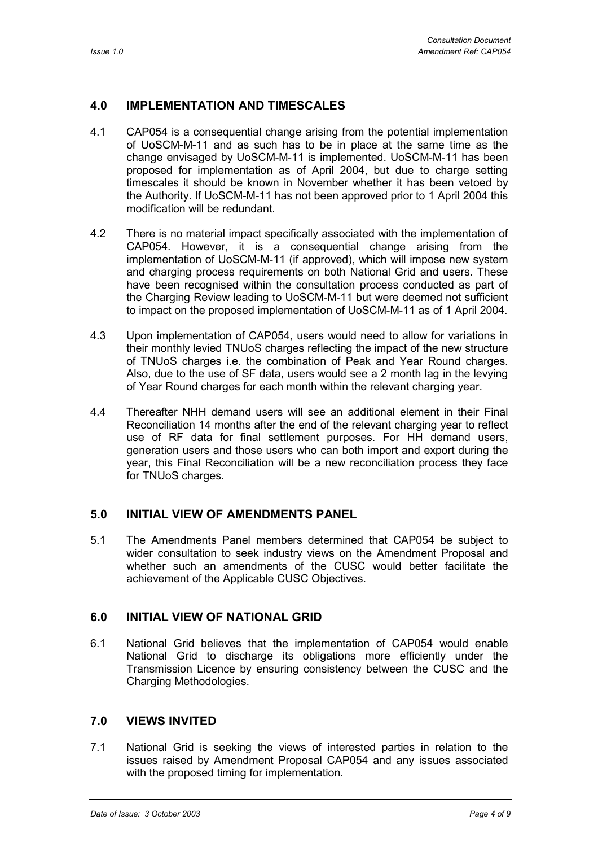## **4.0 IMPLEMENTATION AND TIMESCALES**

- 4.1 CAP054 is a consequential change arising from the potential implementation of UoSCM-M-11 and as such has to be in place at the same time as the change envisaged by UoSCM-M-11 is implemented. UoSCM-M-11 has been proposed for implementation as of April 2004, but due to charge setting timescales it should be known in November whether it has been vetoed by the Authority. If UoSCM-M-11 has not been approved prior to 1 April 2004 this modification will be redundant.
- 4.2 There is no material impact specifically associated with the implementation of CAP054. However, it is a consequential change arising from the implementation of UoSCM-M-11 (if approved), which will impose new system and charging process requirements on both National Grid and users. These have been recognised within the consultation process conducted as part of the Charging Review leading to UoSCM-M-11 but were deemed not sufficient to impact on the proposed implementation of UoSCM-M-11 as of 1 April 2004.
- 4.3 Upon implementation of CAP054, users would need to allow for variations in their monthly levied TNUoS charges reflecting the impact of the new structure of TNUoS charges i.e. the combination of Peak and Year Round charges. Also, due to the use of SF data, users would see a 2 month lag in the levying of Year Round charges for each month within the relevant charging year.
- 4.4 Thereafter NHH demand users will see an additional element in their Final Reconciliation 14 months after the end of the relevant charging year to reflect use of RF data for final settlement purposes. For HH demand users, generation users and those users who can both import and export during the year, this Final Reconciliation will be a new reconciliation process they face for TNUoS charges.

## **5.0 INITIAL VIEW OF AMENDMENTS PANEL**

5.1 The Amendments Panel members determined that CAP054 be subject to wider consultation to seek industry views on the Amendment Proposal and whether such an amendments of the CUSC would better facilitate the achievement of the Applicable CUSC Objectives.

## **6.0 INITIAL VIEW OF NATIONAL GRID**

6.1 National Grid believes that the implementation of CAP054 would enable National Grid to discharge its obligations more efficiently under the Transmission Licence by ensuring consistency between the CUSC and the Charging Methodologies.

## **7.0 VIEWS INVITED**

7.1 National Grid is seeking the views of interested parties in relation to the issues raised by Amendment Proposal CAP054 and any issues associated with the proposed timing for implementation.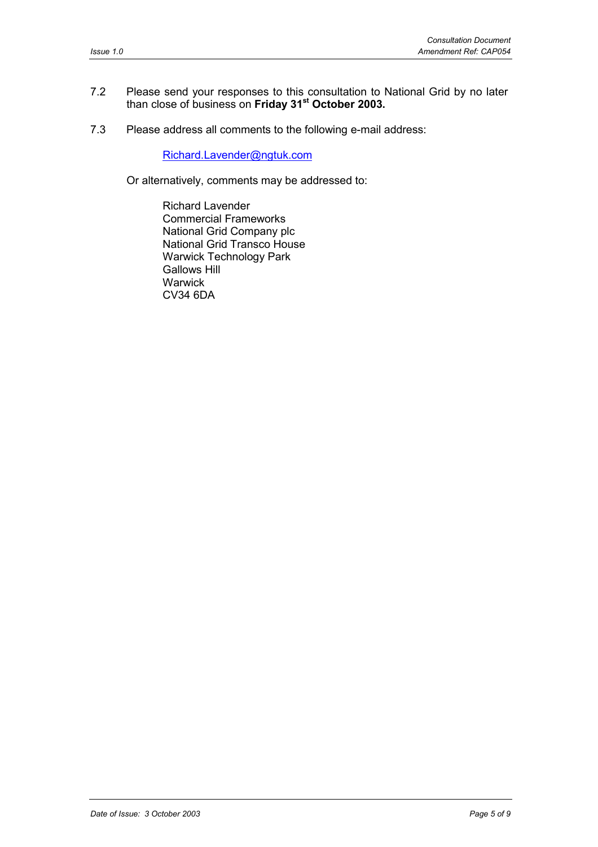#### 7.2 Please send your responses to this consultation to National Grid by no later than close of business on **Friday 31st October 2003.**

7.3 Please address all comments to the following e-mail address:

Richard.Lavender@ngtuk.com

Or alternatively, comments may be addressed to:

Richard Lavender Commercial Frameworks National Grid Company plc National Grid Transco House Warwick Technology Park Gallows Hill **Warwick** CV34 6DA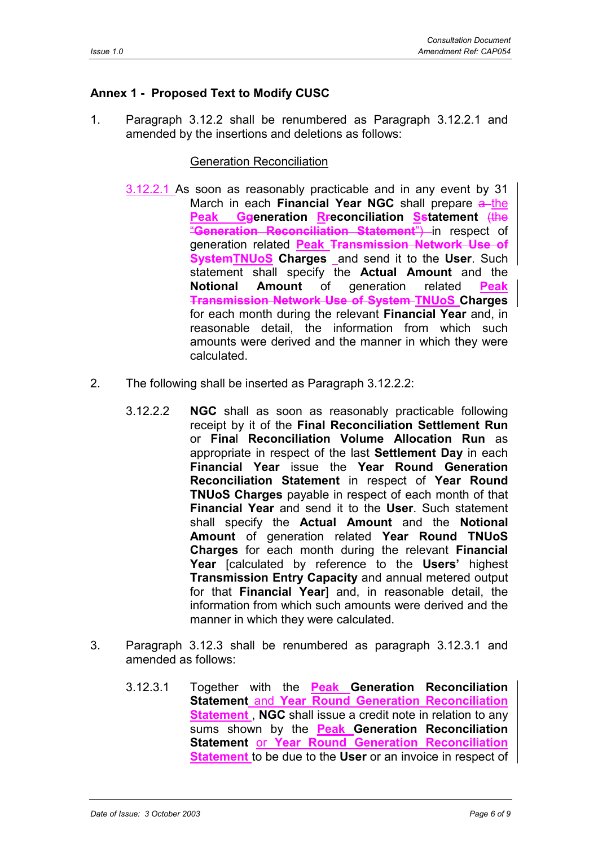## **Annex 1 - Proposed Text to Modify CUSC**

1. Paragraph 3.12.2 shall be renumbered as Paragraph 3.12.2.1 and amended by the insertions and deletions as follows:

#### Generation Reconciliation

- 3.12.2.1 As soon as reasonably practicable and in any event by 31 March in each **Financial Year NGC** shall prepare a the **Peak Ggeneration Rreconciliation Sstatement** (the "**Generation Reconciliation Statement**") in respect of generation related **Peak Transmission Network Use of SystemTNUoS Charges** and send it to the **User**. Such statement shall specify the **Actual Amount** and the **Notional Amount** of generation related **Peak Transmission Network Use of System TNUoS Charges** for each month during the relevant **Financial Year** and, in reasonable detail, the information from which such amounts were derived and the manner in which they were calculated.
- 2. The following shall be inserted as Paragraph 3.12.2.2:
	- 3.12.2.2 **NGC** shall as soon as reasonably practicable following receipt by it of the **Final Reconciliation Settlement Run** or **Fina**l **Reconciliation Volume Allocation Run** as appropriate in respect of the last **Settlement Day** in each **Financial Year** issue the **Year Round Generation Reconciliation Statement** in respect of **Year Round TNUoS Charges** payable in respect of each month of that **Financial Year** and send it to the **User**. Such statement shall specify the **Actual Amount** and the **Notional Amount** of generation related **Year Round TNUoS Charges** for each month during the relevant **Financial Year** [calculated by reference to the **Users'** highest **Transmission Entry Capacity** and annual metered output for that **Financial Year**] and, in reasonable detail, the information from which such amounts were derived and the manner in which they were calculated.
- 3. Paragraph 3.12.3 shall be renumbered as paragraph 3.12.3.1 and amended as follows:
	- 3.12.3.1 Together with the **Peak Generation Reconciliation Statement** and **Year Round Generation Reconciliation Statement**, **NGC** shall issue a credit note in relation to any sums shown by the **Peak Generation Reconciliation Statement** or **Year Round Generation Reconciliation Statement** to be due to the **User** or an invoice in respect of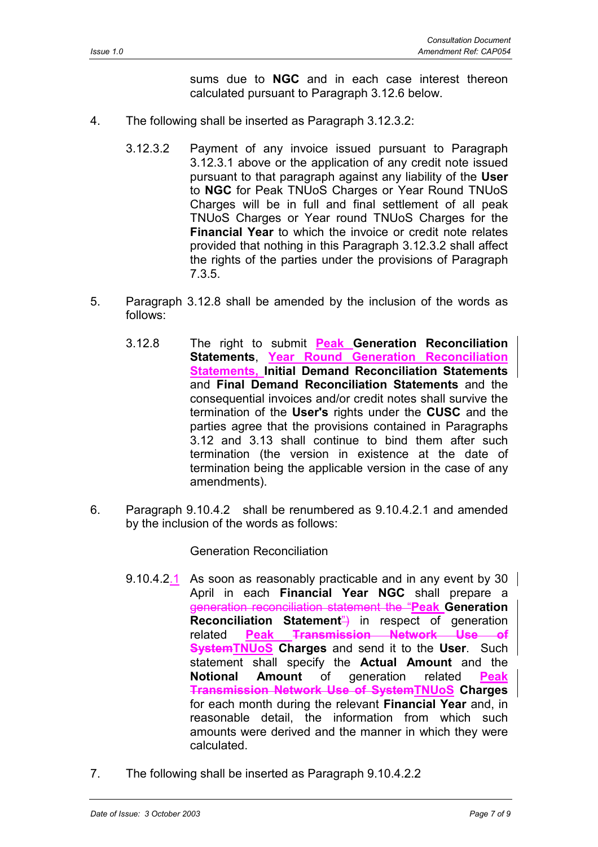sums due to **NGC** and in each case interest thereon calculated pursuant to Paragraph 3.12.6 below.

- 4. The following shall be inserted as Paragraph 3.12.3.2:
	- 3.12.3.2 Payment of any invoice issued pursuant to Paragraph 3.12.3.1 above or the application of any credit note issued pursuant to that paragraph against any liability of the **User** to **NGC** for Peak TNUoS Charges or Year Round TNUoS Charges will be in full and final settlement of all peak TNUoS Charges or Year round TNUoS Charges for the **Financial Year** to which the invoice or credit note relates provided that nothing in this Paragraph 3.12.3.2 shall affect the rights of the parties under the provisions of Paragraph 7.3.5.
- 5. Paragraph 3.12.8 shall be amended by the inclusion of the words as follows:
	- 3.12.8 The right to submit **Peak Generation Reconciliation Statements**, **Year Round Generation Reconciliation Statements, Initial Demand Reconciliation Statements** and **Final Demand Reconciliation Statements** and the consequential invoices and/or credit notes shall survive the termination of the **User's** rights under the **CUSC** and the parties agree that the provisions contained in Paragraphs 3.12 and 3.13 shall continue to bind them after such termination (the version in existence at the date of termination being the applicable version in the case of any amendments).
- 6. Paragraph 9.10.4.2 shall be renumbered as 9.10.4.2.1 and amended by the inclusion of the words as follows:

Generation Reconciliation

- 9.10.4.2.1 As soon as reasonably practicable and in any event by 30  $\parallel$ April in each **Financial Year NGC** shall prepare a generation reconciliation statement the "**Peak Generation Reconciliation Statement<sup>"</sup>)** in respect of generation related **Peak Transmission Network Use of SystemTNUoS Charges** and send it to the **User**. Such statement shall specify the **Actual Amount** and the **Notional Amount** of generation related **Peak Transmission Network Use of SystemTNUoS Charges** for each month during the relevant **Financial Year** and, in reasonable detail, the information from which such amounts were derived and the manner in which they were calculated.
- 7. The following shall be inserted as Paragraph 9.10.4.2.2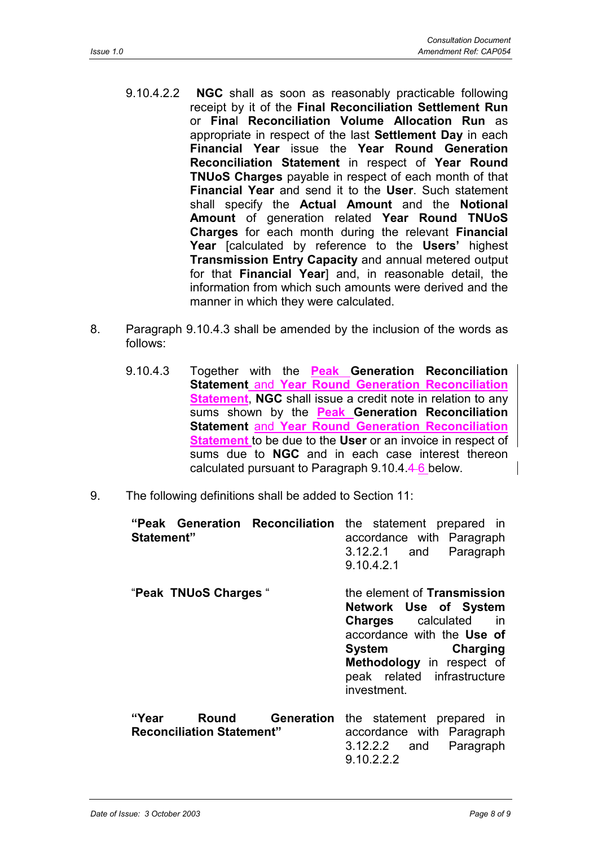- 9.10.4.2.2 **NGC** shall as soon as reasonably practicable following receipt by it of the **Final Reconciliation Settlement Run** or **Fina**l **Reconciliation Volume Allocation Run** as appropriate in respect of the last **Settlement Day** in each **Financial Year** issue the **Year Round Generation Reconciliation Statement** in respect of **Year Round TNUoS Charges** payable in respect of each month of that **Financial Year** and send it to the **User**. Such statement shall specify the **Actual Amount** and the **Notional Amount** of generation related **Year Round TNUoS Charges** for each month during the relevant **Financial Year** [calculated by reference to the **Users'** highest **Transmission Entry Capacity** and annual metered output for that **Financial Year**] and, in reasonable detail, the information from which such amounts were derived and the manner in which they were calculated.
- 8. Paragraph 9.10.4.3 shall be amended by the inclusion of the words as follows:
	- 9.10.4.3 Together with the **Peak Generation Reconciliation Statement** and **Year Round Generation Reconciliation Statement**, **NGC** shall issue a credit note in relation to any sums shown by the **Peak Generation Reconciliation Statement** and **Year Round Generation Reconciliation Statement** to be due to the **User** or an invoice in respect of sums due to **NGC** and in each case interest thereon calculated pursuant to Paragraph 9.10.4.4 6 below.
- 9. The following definitions shall be added to Section 11:

| "Peak Generation Reconciliation<br>Statement"                                  | the statement prepared in<br>accordance with Paragraph<br>Paragraph<br>3.12.2.1 and<br>9.10.4.2.1                                                                                                                      |
|--------------------------------------------------------------------------------|------------------------------------------------------------------------------------------------------------------------------------------------------------------------------------------------------------------------|
| "Peak TNUoS Charges"                                                           | the element of Transmission<br>Network Use of System<br><b>Charges</b> calculated<br>in in<br>accordance with the Use of<br>System Charging<br>Methodology in respect of<br>peak related infrastructure<br>investment. |
| <b>Generation</b><br><b>Round</b><br>"Year<br><b>Reconciliation Statement"</b> | the statement prepared in<br>accordance with Paragraph<br>$3.12.2.2$ and<br>Paragraph<br>9.10.2.2.2                                                                                                                    |